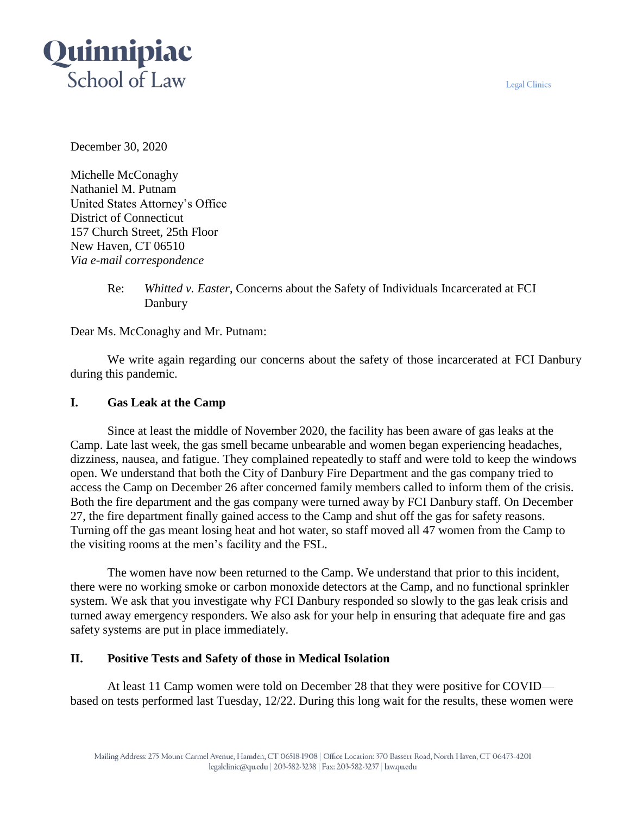**Legal Clinics** 



December 30, 2020

Michelle McConaghy Nathaniel M. Putnam United States Attorney's Office District of Connecticut 157 Church Street, 25th Floor New Haven, CT 06510 *Via e-mail correspondence*

> Re: *Whitted v. Easter*, Concerns about the Safety of Individuals Incarcerated at FCI Danbury

Dear Ms. McConaghy and Mr. Putnam:

We write again regarding our concerns about the safety of those incarcerated at FCI Danbury during this pandemic.

## **I. Gas Leak at the Camp**

Since at least the middle of November 2020, the facility has been aware of gas leaks at the Camp. Late last week, the gas smell became unbearable and women began experiencing headaches, dizziness, nausea, and fatigue. They complained repeatedly to staff and were told to keep the windows open. We understand that both the City of Danbury Fire Department and the gas company tried to access the Camp on December 26 after concerned family members called to inform them of the crisis. Both the fire department and the gas company were turned away by FCI Danbury staff. On December 27, the fire department finally gained access to the Camp and shut off the gas for safety reasons. Turning off the gas meant losing heat and hot water, so staff moved all 47 women from the Camp to the visiting rooms at the men's facility and the FSL.

The women have now been returned to the Camp. We understand that prior to this incident, there were no working smoke or carbon monoxide detectors at the Camp, and no functional sprinkler system. We ask that you investigate why FCI Danbury responded so slowly to the gas leak crisis and turned away emergency responders. We also ask for your help in ensuring that adequate fire and gas safety systems are put in place immediately.

# **II. Positive Tests and Safety of those in Medical Isolation**

At least 11 Camp women were told on December 28 that they were positive for COVID based on tests performed last Tuesday, 12/22. During this long wait for the results, these women were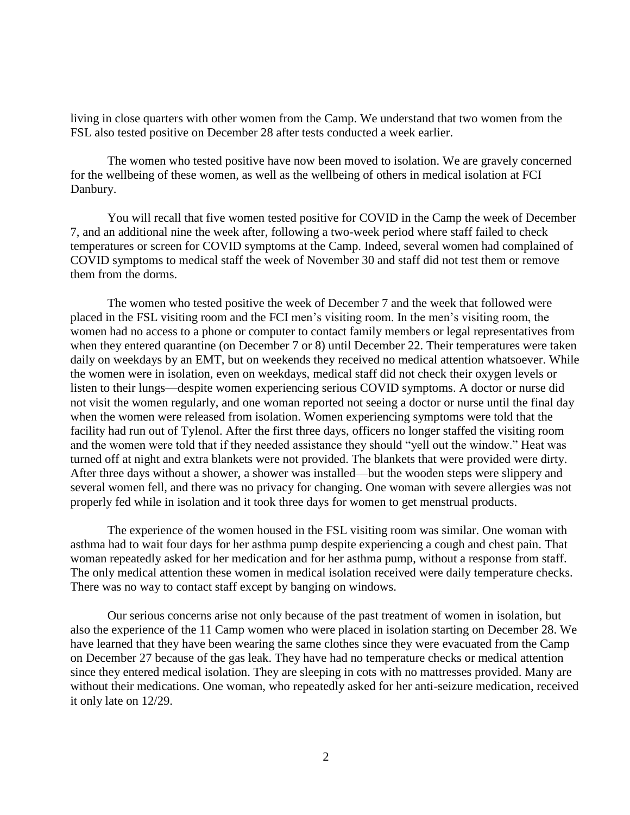living in close quarters with other women from the Camp. We understand that two women from the FSL also tested positive on December 28 after tests conducted a week earlier.

The women who tested positive have now been moved to isolation. We are gravely concerned for the wellbeing of these women, as well as the wellbeing of others in medical isolation at FCI Danbury.

You will recall that five women tested positive for COVID in the Camp the week of December 7, and an additional nine the week after, following a two-week period where staff failed to check temperatures or screen for COVID symptoms at the Camp. Indeed, several women had complained of COVID symptoms to medical staff the week of November 30 and staff did not test them or remove them from the dorms.

The women who tested positive the week of December 7 and the week that followed were placed in the FSL visiting room and the FCI men's visiting room. In the men's visiting room, the women had no access to a phone or computer to contact family members or legal representatives from when they entered quarantine (on December 7 or 8) until December 22. Their temperatures were taken daily on weekdays by an EMT, but on weekends they received no medical attention whatsoever. While the women were in isolation, even on weekdays, medical staff did not check their oxygen levels or listen to their lungs—despite women experiencing serious COVID symptoms. A doctor or nurse did not visit the women regularly, and one woman reported not seeing a doctor or nurse until the final day when the women were released from isolation. Women experiencing symptoms were told that the facility had run out of Tylenol. After the first three days, officers no longer staffed the visiting room and the women were told that if they needed assistance they should "yell out the window." Heat was turned off at night and extra blankets were not provided. The blankets that were provided were dirty. After three days without a shower, a shower was installed—but the wooden steps were slippery and several women fell, and there was no privacy for changing. One woman with severe allergies was not properly fed while in isolation and it took three days for women to get menstrual products.

The experience of the women housed in the FSL visiting room was similar. One woman with asthma had to wait four days for her asthma pump despite experiencing a cough and chest pain. That woman repeatedly asked for her medication and for her asthma pump, without a response from staff. The only medical attention these women in medical isolation received were daily temperature checks. There was no way to contact staff except by banging on windows.

Our serious concerns arise not only because of the past treatment of women in isolation, but also the experience of the 11 Camp women who were placed in isolation starting on December 28. We have learned that they have been wearing the same clothes since they were evacuated from the Camp on December 27 because of the gas leak. They have had no temperature checks or medical attention since they entered medical isolation. They are sleeping in cots with no mattresses provided. Many are without their medications. One woman, who repeatedly asked for her anti-seizure medication, received it only late on 12/29.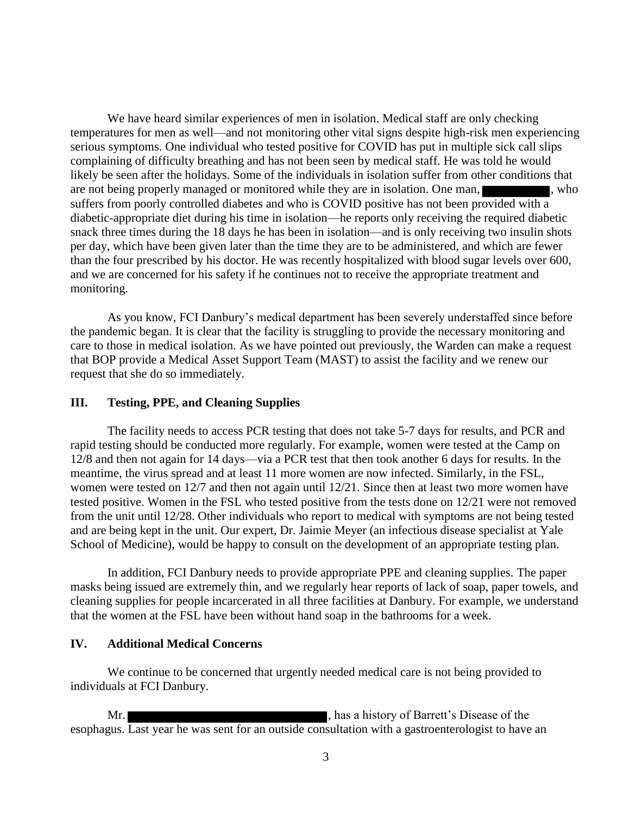We have heard similar experiences of men in isolation. Medical staff are only checking temperatures for men as well—and not monitoring other vital signs despite high-risk men experiencing serious symptoms. One individual who tested positive for COVID has put in multiple sick call slips complaining of difficulty breathing and has not been seen by medical staff. He was told he would likely be seen after the holidays. Some of the individuals in isolation suffer from other conditions that are not being properly managed or monitored while they are in isolation. One man, suffers from poorly controlled diabetes and who is COVID positive has not been provided with a diabetic-appropriate diet during his time in isolation—he reports only receiving the required diabetic snack three times during the 18 days he has been in isolation—and is only receiving two insulin shots per day, which have been given later than the time they are to be administered, and which are fewer than the four prescribed by his doctor. He was recently hospitalized with blood sugar levels over 600, and we are concerned for his safety if he continues not to receive the appropriate treatment and monitoring.

As you know, FCI Danbury's medical department has been severely understaffed since before the pandemic began. It is clear that the facility is struggling to provide the necessary monitoring and care to those in medical isolation. As we have pointed out previously, the Warden can make a request that BOP provide a Medical Asset Support Team (MAST) to assist the facility and we renew our request that she do so immediately.

### **III. Testing, PPE, and Cleaning Supplies**

The facility needs to access PCR testing that does not take 5-7 days for results, and PCR and rapid testing should be conducted more regularly. For example, women were tested at the Camp on 12/8 and then not again for 14 days—via a PCR test that then took another 6 days for results. In the meantime, the virus spread and at least 11 more women are now infected. Similarly, in the FSL, women were tested on 12/7 and then not again until 12/21. Since then at least two more women have tested positive. Women in the FSL who tested positive from the tests done on 12/21 were not removed from the unit until 12/28. Other individuals who report to medical with symptoms are not being tested and are being kept in the unit. Our expert, Dr. Jaimie Meyer (an infectious disease specialist at Yale School of Medicine), would be happy to consult on the development of an appropriate testing plan.

In addition, FCI Danbury needs to provide appropriate PPE and cleaning supplies. The paper masks being issued are extremely thin, and we regularly hear reports of lack of soap, paper towels, and cleaning supplies for people incarcerated in all three facilities at Danbury. For example, we understand that the women at the FSL have been without hand soap in the bathrooms for a week.

### **IV. Additional Medical Concerns**

We continue to be concerned that urgently needed medical care is not being provided to individuals at FCI Danbury.

Mr. **Mr.**  $\blacksquare$  , has a history of Barrett's Disease of the esophagus. Last year he was sent for an outside consultation with a gastroenterologist to have an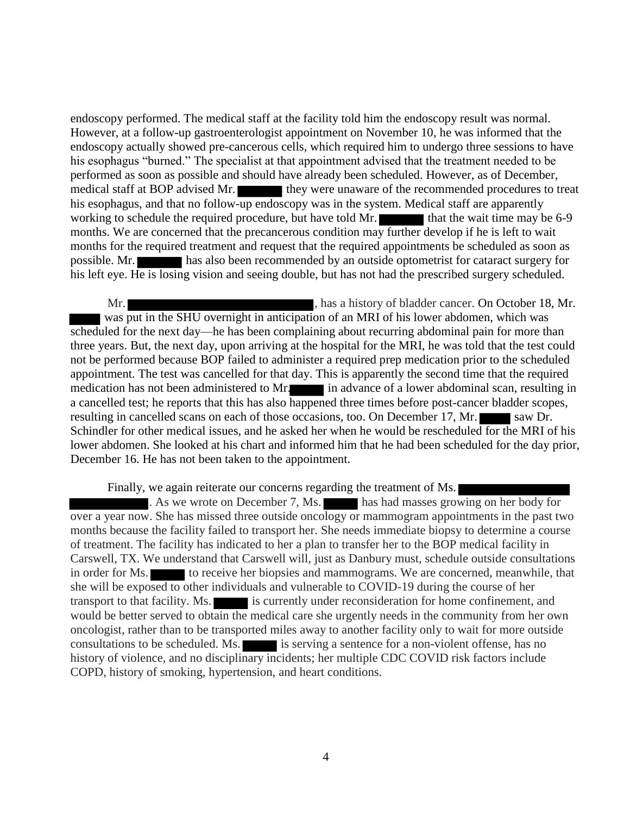endoscopy performed. The medical staff at the facility told him the endoscopy result was normal. However, at a follow-up gastroenterologist appointment on November 10, he was informed that the endoscopy actually showed pre-cancerous cells, which required him to undergo three sessions to have his esophagus "burned." The specialist at that appointment advised that the treatment needed to be performed as soon as possible and should have already been scheduled. However, as of December, medical staff at BOP advised Mr. they were unaware of the recommended procedures to treat his esophagus, and that no follow-up endoscopy was in the system. Medical staff are apparently working to schedule the required procedure, but have told Mr.  $\blacksquare$  that the wait time may be 6-9 months. We are concerned that the precancerous condition may further develop if he is left to wait months for the required treatment and request that the required appointments be scheduled as soon as possible. Mr. has also been recommended by an outside optometrist for cataract surgery for his left eye. He is losing vision and seeing double, but has not had the prescribed surgery scheduled.

Mr. **Mr.**  $\blacksquare$  , has a history of bladder cancer. On October 18, Mr. was put in the SHU overnight in anticipation of an MRI of his lower abdomen, which was scheduled for the next day—he has been complaining about recurring abdominal pain for more than three years. But, the next day, upon arriving at the hospital for the MRI, he was told that the test could not be performed because BOP failed to administer a required prep medication prior to the scheduled appointment. The test was cancelled for that day. This is apparently the second time that the required medication has not been administered to Mr. in advance of a lower abdominal scan, resulting in a cancelled test; he reports that this has also happened three times before post-cancer bladder scopes, resulting in cancelled scans on each of those occasions, too. On December 17, Mr. saw Dr. Schindler for other medical issues, and he asked her when he would be rescheduled for the MRI of his lower abdomen. She looked at his chart and informed him that he had been scheduled for the day prior, December 16. He has not been taken to the appointment.

Finally, we again reiterate our concerns regarding the treatment of Ms.

As we wrote on December 7, Ms. has had masses growing on her body for over a year now. She has missed three outside oncology or mammogram appointments in the past two months because the facility failed to transport her. She needs immediate biopsy to determine a course of treatment. The facility has indicated to her a plan to transfer her to the BOP medical facility in Carswell, TX. We understand that Carswell will, just as Danbury must, schedule outside consultations in order for Ms. to receive her biopsies and mammograms. We are concerned, meanwhile, that she will be exposed to other individuals and vulnerable to COVID-19 during the course of her transport to that facility. Ms. is currently under reconsideration for home confinement, and would be better served to obtain the medical care she urgently needs in the community from her own oncologist, rather than to be transported miles away to another facility only to wait for more outside consultations to be scheduled. Ms. is serving a sentence for a non-violent offense, has no history of violence, and no disciplinary incidents; her multiple CDC COVID risk factors include COPD, history of smoking, hypertension, and heart conditions.